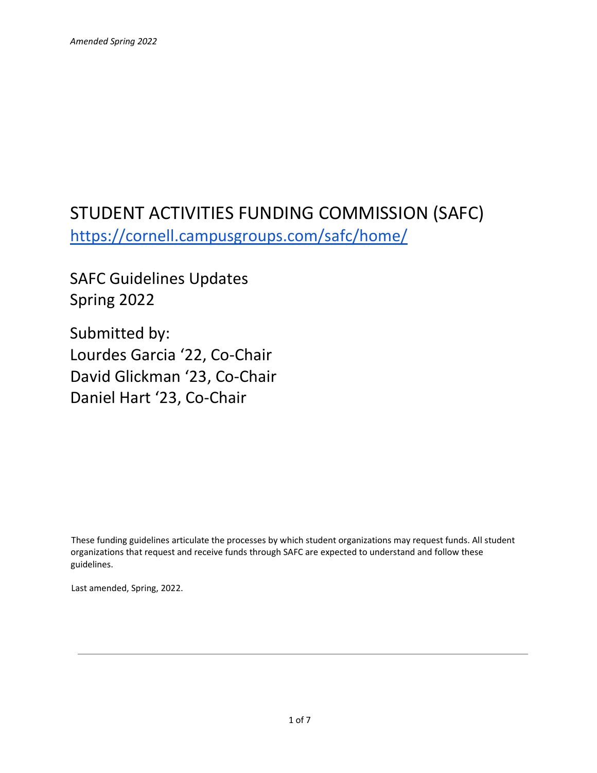# STUDENT ACTIVITIES FUNDING COMMISSION (SAFC) <https://cornell.campusgroups.com/safc/home/>

SAFC Guidelines Updates Spring 2022

Submitted by: Lourdes Garcia '22, Co-Chair David Glickman '23, Co-Chair Daniel Hart '23, Co-Chair

These funding guidelines articulate the processes by which student organizations may request funds. All student organizations that request and receive funds through SAFC are expected to understand and follow these guidelines.

Last amended, Spring, 2022.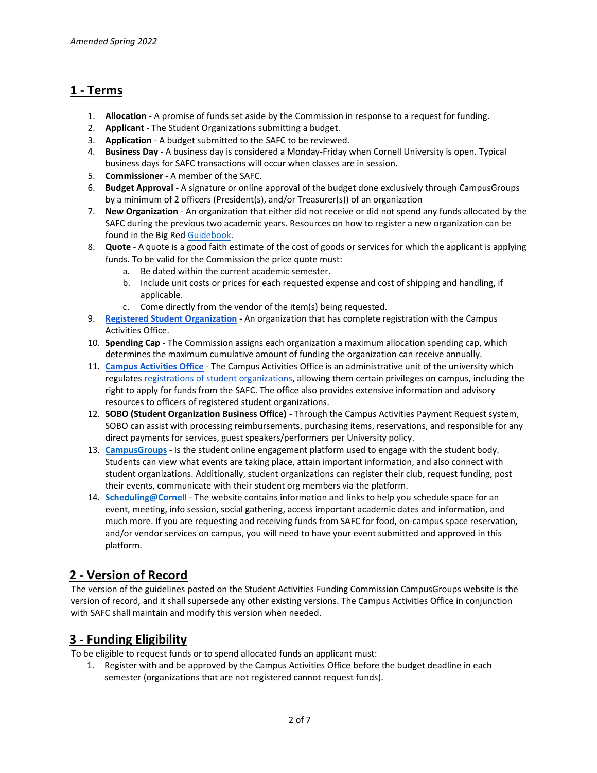# **1 - Terms**

- 1. **Allocation**  A promise of funds set aside by the Commission in response to a request for funding.
- 2. **Applicant** The Student Organizations submitting a budget.
- 3. **Application**  A budget submitted to the SAFC to be reviewed.
- 4. **Business Day** A business day is considered a Monday-Friday when Cornell University is open. Typical business days for SAFC transactions will occur when classes are in session.
- 5. **Commissioner** A member of the SAFC.
- 6. **Budget Approval** A signature or online approval of the budget done exclusively through CampusGroups by a minimum of 2 officers (President(s), and/or Treasurer(s)) of an organization
- 7. **New Organization** An organization that either did not receive or did not spend any funds allocated by the SAFC during the previous two academic years. Resources on how to register a new organization can be found in the Big Re[d Guidebook.](https://scl.cornell.edu/NewRSOs)
- 8. **Quote**  A quote is a good faith estimate of the cost of goods or services for which the applicant is applying funds. To be valid for the Commission the price quote must:
	- a. Be dated within the current academic semester.
	- b. Include unit costs or prices for each requested expense and cost of shipping and handling, if applicable.
	- c. Come directly from the vendor of the item(s) being requested.
- 9. **[Registered Student Organization](https://scl.cornell.edu/get-involved/campus-activities/student-organization-directory)** An organization that has complete registration with the Campus Activities Office.
- 10. **Spending Cap** The Commission assigns each organization a maximum allocation spending cap, which determines the maximum cumulative amount of funding the organization can receive annually.
- 11. **[Campus Activities Office](https://scl.cornell.edu/get-involved/campus-activities)** The Campus Activities Office is an administrative unit of the university which regulates [registrations of student organizations,](https://scl.cornell.edu/get-involved/campus-activities/student-organization-resources/registration-process) allowing them certain privileges on campus, including the right to apply for funds from the SAFC. The office also provides extensive information and advisory resources to officers of registered student organizations.
- 12. **SOBO (Student Organization Business Office)** Through the Campus Activities Payment Request system, SOBO can assist with processing reimbursements, purchasing items, reservations, and responsible for any direct payments for services, guest speakers/performers per University policy.
- 13. **[CampusGroups](https://cornell.campusgroups.com/)** Is the student online engagement platform used to engage with the student body. Students can view what events are taking place, attain important information, and also connect with student organizations. Additionally, student organizations can register their club, request funding, post their events, communicate with their student org members via the platform.
- 14. **[Scheduling@Cornell](https://scheduling.cornell.edu/)** The website contains information and links to help you schedule space for an event, meeting, info session, social gathering, access important academic dates and information, and much more. If you are requesting and receiving funds from SAFC for food, on-campus space reservation, and/or vendor services on campus, you will need to have your event submitted and approved in this platform.

# **2 - Version of Record**

The version of the guidelines posted on the Student Activities Funding Commission CampusGroups website is the version of record, and it shall supersede any other existing versions. The Campus Activities Office in conjunction with SAFC shall maintain and modify this version when needed.

# **3 - Funding Eligibility**

To be eligible to request funds or to spend allocated funds an applicant must:

1. Register with and be approved by the Campus Activities Office before the budget deadline in each semester (organizations that are not registered cannot request funds).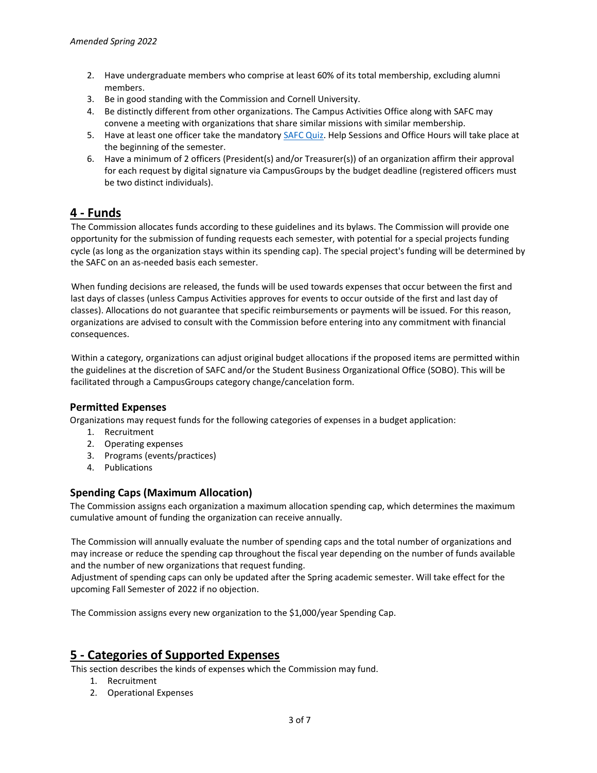- 2. Have undergraduate members who comprise at least 60% of its total membership, excluding alumni members.
- 3. Be in good standing with the Commission and Cornell University.
- 4. Be distinctly different from other organizations. The Campus Activities Office along with SAFC may convene a meeting with organizations that share similar missions with similar membership.
- 5. Have at least one officer take the mandatory [SAFC](https://cglink.me/2ee/s54924) Quiz. Help Sessions and Office Hours will take place at the beginning of the semester.
- 6. Have a minimum of 2 officers (President(s) and/or Treasurer(s)) of an organization affirm their approval for each request by digital signature via CampusGroups by the budget deadline (registered officers must be two distinct individuals).

# **4 - Funds**

The Commission allocates funds according to these guidelines and its bylaws. The Commission will provide one opportunity for the submission of funding requests each semester, with potential for a special projects funding cycle (as long as the organization stays within its spending cap). The special project's funding will be determined by the SAFC on an as-needed basis each semester.

When funding decisions are released, the funds will be used towards expenses that occur between the first and last days of classes (unless Campus Activities approves for events to occur outside of the first and last day of classes). Allocations do not guarantee that specific reimbursements or payments will be issued. For this reason, organizations are advised to consult with the Commission before entering into any commitment with financial consequences.

Within a category, organizations can adjust original budget allocations if the proposed items are permitted within the guidelines at the discretion of SAFC and/or the Student Business Organizational Office (SOBO). This will be facilitated through a CampusGroups category change/cancelation form.

### **Permitted Expenses**

Organizations may request funds for the following categories of expenses in a budget application:

- 1. Recruitment
- 2. Operating expenses
- 3. Programs (events/practices)
- 4. Publications

### **Spending Caps (Maximum Allocation)**

The Commission assigns each organization a maximum allocation spending cap, which determines the maximum cumulative amount of funding the organization can receive annually.

The Commission will annually evaluate the number of spending caps and the total number of organizations and may increase or reduce the spending cap throughout the fiscal year depending on the number of funds available and the number of new organizations that request funding.

Adjustment of spending caps can only be updated after the Spring academic semester. Will take effect for the upcoming Fall Semester of 2022 if no objection.

The Commission assigns every new organization to the \$1,000/year Spending Cap.

## **5 - Categories of Supported Expenses**

This section describes the kinds of expenses which the Commission may fund.

- 1. Recruitment
- 2. Operational Expenses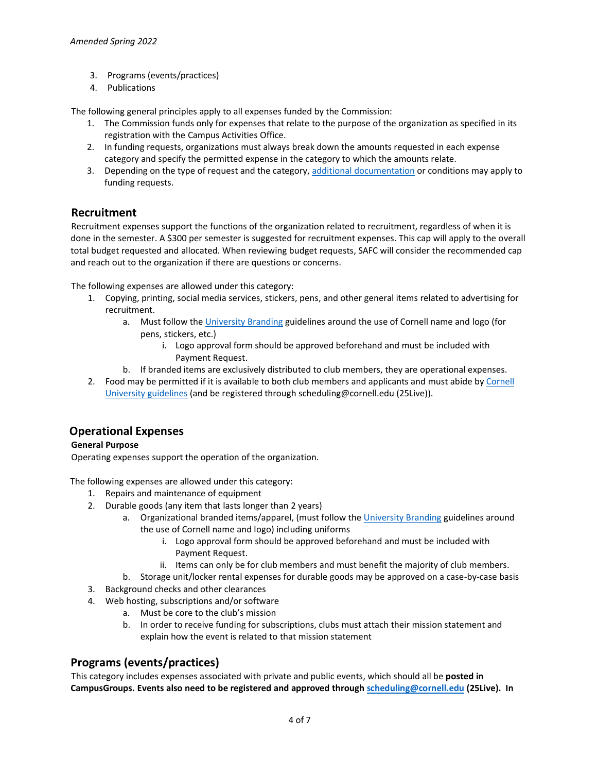- 3. Programs (events/practices)
- 4. Publications

The following general principles apply to all expenses funded by the Commission:

- 1. The Commission funds only for expenses that relate to the purpose of the organization as specified in its registration with the Campus Activities Office.
- 2. In funding requests, organizations must always break down the amounts requested in each expense category and specify the permitted expense in the category to which the amounts relate.
- 3. Depending on the type of request and the category, [additional documentation](https://docs.google.com/document/d/1_I-Y-JN8IewiLj4dd-dgBOIZBdAmKrKxzBf7-3LJvA4/edit?usp=sharing) or conditions may apply to funding requests.

#### **Recruitment**

Recruitment expenses support the functions of the organization related to recruitment, regardless of when it is done in the semester. A \$300 per semester is suggested for recruitment expenses. This cap will apply to the overall total budget requested and allocated. When reviewing budget requests, SAFC will consider the recommended cap and reach out to the organization if there are questions or concerns.

The following expenses are allowed under this category:

- 1. Copying, printing, social media services, stickers, pens, and other general items related to advertising for recruitment.
	- a. Must follow the [University Branding](https://apps.univcomm.cornell.edu/brand-forms/forms/) guidelines around the use of Cornell name and logo (for pens, stickers, etc.)
		- i. Logo approval form should be approved beforehand and must be included with Payment Request.
	- b. If branded items are exclusively distributed to club members, they are operational expenses.
- 2. Food may be permitted if it is available to both club members and applicants and must abide by [Cornell](https://covid.cornell.edu/events/)  [University guidelines](https://covid.cornell.edu/events/) (and be registered through scheduling@cornell.edu (25Live)).

### **Operational Expenses**

#### **General Purpose**

Operating expenses support the operation of the organization.

The following expenses are allowed under this category:

- 1. Repairs and maintenance of equipment
- 2. Durable goods (any item that lasts longer than 2 years)
	- a. Organizational branded items/apparel, (must follow the [University Branding](https://apps.univcomm.cornell.edu/brand-forms/forms/) guidelines around the use of Cornell name and logo) including uniforms
		- i. Logo approval form should be approved beforehand and must be included with Payment Request.
		- ii. Items can only be for club members and must benefit the majority of club members.
- b. Storage unit/locker rental expenses for durable goods may be approved on a case-by-case basis
- 3. Background checks and other clearances
- 4. Web hosting, subscriptions and/or software
	- a. Must be core to the club's mission
	- b. In order to receive funding for subscriptions, clubs must attach their mission statement and explain how the event is related to that mission statement

### **Programs (events/practices)**

This category includes expenses associated with private and public events, which should all be **posted in CampusGroups. Events also need to be registered and approved through [scheduling@cornell.edu](https://scheduling.cornell.edu/) (25Live). In**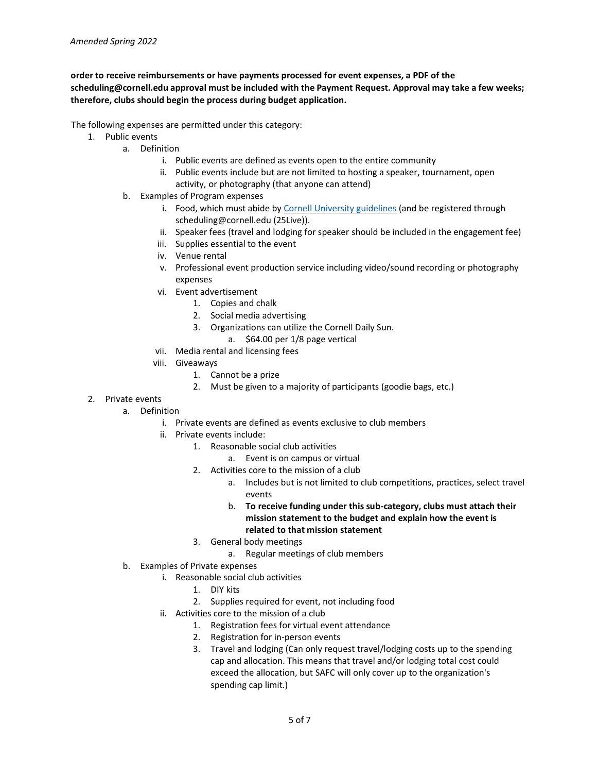#### **order to receive reimbursements or have payments processed for event expenses, a PDF of the scheduling@cornell.edu approval must be included with the Payment Request. Approval may take a few weeks; therefore, clubs should begin the process during budget application.**

The following expenses are permitted under this category:

- 1. Public events
	- a. Definition
		- i. Public events are defined as events open to the entire community
		- ii. Public events include but are not limited to hosting a speaker, tournament, open activity, or photography (that anyone can attend)
	- b. Examples of Program expenses
		- i. Food, which must abide by [Cornell University guidelines](https://covid.cornell.edu/events/) (and be registered through scheduling@cornell.edu (25Live)).
		- ii. Speaker fees (travel and lodging for speaker should be included in the engagement fee)
		- iii. Supplies essential to the event
		- iv. Venue rental
		- v. Professional event production service including video/sound recording or photography expenses
		- vi. Event advertisement
			- 1. Copies and chalk
			- 2. Social media advertising
			- 3. Organizations can utilize the Cornell Daily Sun.
				- a. \$64.00 per 1/8 page vertical
		- vii. Media rental and licensing fees
		- viii. Giveaways
			- 1. Cannot be a prize
			- 2. Must be given to a majority of participants (goodie bags, etc.)
- 2. Private events
	- a. Definition
		- i. Private events are defined as events exclusive to club members
		- ii. Private events include:
			- 1. Reasonable social club activities
				- a. Event is on campus or virtual
				- 2. Activities core to the mission of a club
					- a. Includes but is not limited to club competitions, practices, select travel events
					- b. **To receive funding under this sub-category, clubs must attach their mission statement to the budget and explain how the event is related to that mission statement**
			- 3. General body meetings
				- a. Regular meetings of club members
	- b. Examples of Private expenses
		- i. Reasonable social club activities
			- 1. DIY kits
			- 2. Supplies required for event, not including food
		- ii. Activities core to the mission of a club
			- 1. Registration fees for virtual event attendance
			- 2. Registration for in-person events
			- 3. Travel and lodging (Can only request travel/lodging costs up to the spending cap and allocation. This means that travel and/or lodging total cost could exceed the allocation, but SAFC will only cover up to the organization's spending cap limit.)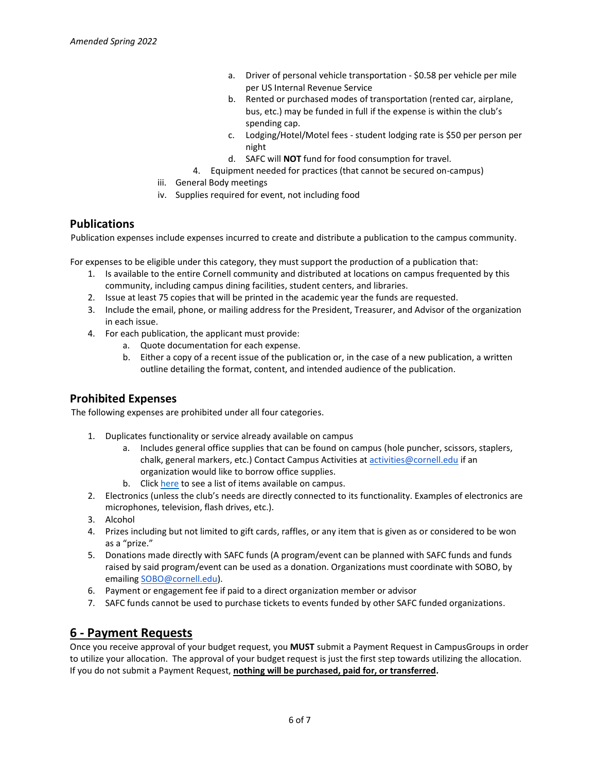- a. Driver of personal vehicle transportation \$0.58 per vehicle per mile per US Internal Revenue Service
- b. Rented or purchased modes of transportation (rented car, airplane, bus, etc.) may be funded in full if the expense is within the club's spending cap.
- c. Lodging/Hotel/Motel fees student lodging rate is \$50 per person per night
- d. SAFC will **NOT** fund for food consumption for travel.
- 4. Equipment needed for practices (that cannot be secured on-campus)
- iii. General Body meetings
- iv. Supplies required for event, not including food

#### **Publications**

Publication expenses include expenses incurred to create and distribute a publication to the campus community.

For expenses to be eligible under this category, they must support the production of a publication that:

- 1. Is available to the entire Cornell community and distributed at locations on campus frequented by this community, including campus dining facilities, student centers, and libraries.
- 2. Issue at least 75 copies that will be printed in the academic year the funds are requested.
- 3. Include the email, phone, or mailing address for the President, Treasurer, and Advisor of the organization in each issue.
- 4. For each publication, the applicant must provide:
	- a. Quote documentation for each expense.
	- b. Either a copy of a recent issue of the publication or, in the case of a new publication, a written outline detailing the format, content, and intended audience of the publication.

### **Prohibited Expenses**

The following expenses are prohibited under all four categories.

- 1. Duplicates functionality or service already available on campus
	- a. Includes general office supplies that can be found on campus (hole puncher, scissors, staplers, chalk, general markers, etc.) Contact Campus Activities at [activities@cornell.edu](mailto:activities@cornell.edu) if an organization would like to borrow office supplies.
	- b. Click [here](https://docs.google.com/document/d/1PoaBHBm4AJzcCfp1KKKG0YwmnGj8-llsYWoGV9jMPaM/edit?usp=sharing) to see a list of items available on campus.
- 2. Electronics (unless the club's needs are directly connected to its functionality. Examples of electronics are microphones, television, flash drives, etc.).
- 3. Alcohol
- 4. Prizes including but not limited to gift cards, raffles, or any item that is given as or considered to be won as a "prize."
- 5. Donations made directly with SAFC funds (A program/event can be planned with SAFC funds and funds raised by said program/event can be used as a donation. Organizations must coordinate with SOBO, by emailing [SOBO@cornell.edu\)](mailto:SOBO@cornell.edu).
- 6. Payment or engagement fee if paid to a direct organization member or advisor
- 7. SAFC funds cannot be used to purchase tickets to events funded by other SAFC funded organizations.

### **6 - Payment Requests**

Once you receive approval of your budget request, you **MUST** submit a Payment Request in CampusGroups in order to utilize your allocation. The approval of your budget request is just the first step towards utilizing the allocation. If you do not submit a Payment Request, **nothing will be purchased, paid for, or transferred.**